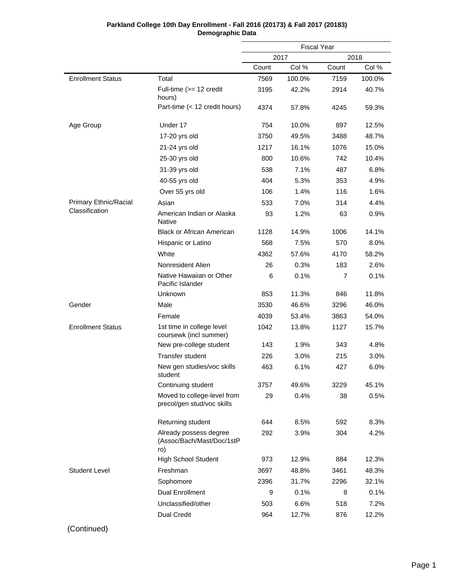| Parkland College 10th Day Enrollment - Fall 2016 (20173) & Fall 2017 (20183) |
|------------------------------------------------------------------------------|
| Demographic Data                                                             |

|                              |                                                            | <b>Fiscal Year</b> |        |       |        |
|------------------------------|------------------------------------------------------------|--------------------|--------|-------|--------|
|                              |                                                            |                    | 2017   |       | 2018   |
|                              |                                                            | Count              | Col %  | Count | Col %  |
| <b>Enrollment Status</b>     | Total                                                      | 7569               | 100.0% | 7159  | 100.0% |
|                              | Full-time (>= 12 credit<br>hours)                          | 3195               | 42.2%  | 2914  | 40.7%  |
|                              | Part-time (< 12 credit hours)                              | 4374               | 57.8%  | 4245  | 59.3%  |
| Age Group                    | Under 17                                                   | 754                | 10.0%  | 897   | 12.5%  |
|                              | 17-20 yrs old                                              | 3750               | 49.5%  | 3488  | 48.7%  |
|                              | 21-24 yrs old                                              | 1217               | 16.1%  | 1076  | 15.0%  |
|                              | 25-30 yrs old                                              | 800                | 10.6%  | 742   | 10.4%  |
|                              | 31-39 yrs old                                              | 538                | 7.1%   | 487   | 6.8%   |
|                              | 40-55 yrs old                                              | 404                | 5.3%   | 353   | 4.9%   |
|                              | Over 55 yrs old                                            | 106                | 1.4%   | 116   | 1.6%   |
| <b>Primary Ethnic/Racial</b> | Asian                                                      | 533                | 7.0%   | 314   | 4.4%   |
| Classification               | American Indian or Alaska<br>Native                        | 93                 | 1.2%   | 63    | 0.9%   |
|                              | <b>Black or African American</b>                           | 1128               | 14.9%  | 1006  | 14.1%  |
|                              | Hispanic or Latino                                         | 568                | 7.5%   | 570   | 8.0%   |
|                              | White                                                      | 4362               | 57.6%  | 4170  | 58.2%  |
|                              | Nonresident Alien                                          | 26                 | 0.3%   | 183   | 2.6%   |
|                              | Native Hawaiian or Other<br>Pacific Islander               | 6                  | 0.1%   | 7     | 0.1%   |
|                              | Unknown                                                    | 853                | 11.3%  | 846   | 11.8%  |
| Gender                       | Male                                                       | 3530               | 46.6%  | 3296  | 46.0%  |
|                              | Female                                                     | 4039               | 53.4%  | 3863  | 54.0%  |
| <b>Enrollment Status</b>     | 1st time in college level<br>coursewk (incl summer)        | 1042               | 13.8%  | 1127  | 15.7%  |
|                              | New pre-college student                                    | 143                | 1.9%   | 343   | 4.8%   |
|                              | <b>Transfer student</b>                                    | 226                | 3.0%   | 215   | 3.0%   |
|                              | New gen studies/voc skills<br>student                      | 463                | 6.1%   | 427   | 6.0%   |
|                              | Continuing student                                         | 3757               | 49.6%  | 3229  | 45.1%  |
|                              | Moved to college-level from<br>precol/gen stud/voc skills  | 29                 | 0.4%   | 38    | 0.5%   |
|                              | Returning student                                          | 644                | 8.5%   | 592   | 8.3%   |
|                              | Already possess degree<br>(Assoc/Bach/Mast/Doc/1stP<br>ro) | 292                | 3.9%   | 304   | 4.2%   |
|                              | <b>High School Student</b>                                 | 973                | 12.9%  | 884   | 12.3%  |
| <b>Student Level</b>         | Freshman                                                   | 3697               | 48.8%  | 3461  | 48.3%  |
|                              | Sophomore                                                  | 2396               | 31.7%  | 2296  | 32.1%  |
|                              | <b>Dual Enrollment</b>                                     | 9                  | 0.1%   | 8     | 0.1%   |
|                              | Unclassified/other                                         | 503                | 6.6%   | 518   | 7.2%   |
|                              | Dual Credit                                                | 964                | 12.7%  | 876   | 12.2%  |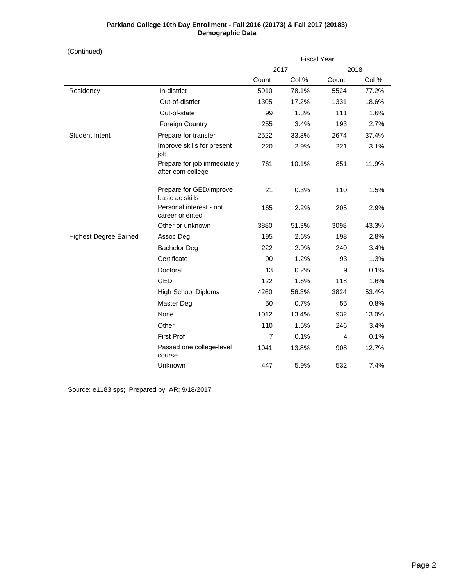(Continued)

|                              |                                                  | <b>Fiscal Year</b> |       |       |       |
|------------------------------|--------------------------------------------------|--------------------|-------|-------|-------|
|                              |                                                  | 2017               |       | 2018  |       |
|                              |                                                  | Count              | Col % | Count | Col % |
| Residency                    | In-district                                      | 5910               | 78.1% | 5524  | 77.2% |
|                              | Out-of-district                                  | 1305               | 17.2% | 1331  | 18.6% |
|                              | Out-of-state                                     | 99                 | 1.3%  | 111   | 1.6%  |
|                              | <b>Foreign Country</b>                           | 255                | 3.4%  | 193   | 2.7%  |
| <b>Student Intent</b>        | Prepare for transfer                             | 2522               | 33.3% | 2674  | 37.4% |
|                              | Improve skills for present<br>job                | 220                | 2.9%  | 221   | 3.1%  |
|                              | Prepare for job immediately<br>after com college | 761                | 10.1% | 851   | 11.9% |
|                              | Prepare for GED/improve<br>basic ac skills       | 21                 | 0.3%  | 110   | 1.5%  |
|                              | Personal interest - not<br>career oriented       | 165                | 2.2%  | 205   | 2.9%  |
|                              | Other or unknown                                 | 3880               | 51.3% | 3098  | 43.3% |
| <b>Highest Degree Earned</b> | Assoc Deg                                        | 195                | 2.6%  | 198   | 2.8%  |
|                              | <b>Bachelor Deg</b>                              | 222                | 2.9%  | 240   | 3.4%  |
|                              | Certificate                                      | 90                 | 1.2%  | 93    | 1.3%  |
|                              | Doctoral                                         | 13                 | 0.2%  | 9     | 0.1%  |
|                              | <b>GED</b>                                       | 122                | 1.6%  | 118   | 1.6%  |
|                              | High School Diploma                              | 4260               | 56.3% | 3824  | 53.4% |
|                              | Master Deg                                       | 50                 | 0.7%  | 55    | 0.8%  |
|                              | None                                             | 1012               | 13.4% | 932   | 13.0% |
|                              | Other                                            | 110                | 1.5%  | 246   | 3.4%  |
|                              | <b>First Prof</b>                                | $\overline{7}$     | 0.1%  | 4     | 0.1%  |
|                              | Passed one college-level<br>course               | 1041               | 13.8% | 908   | 12.7% |
|                              | Unknown                                          | 447                | 5.9%  | 532   | 7.4%  |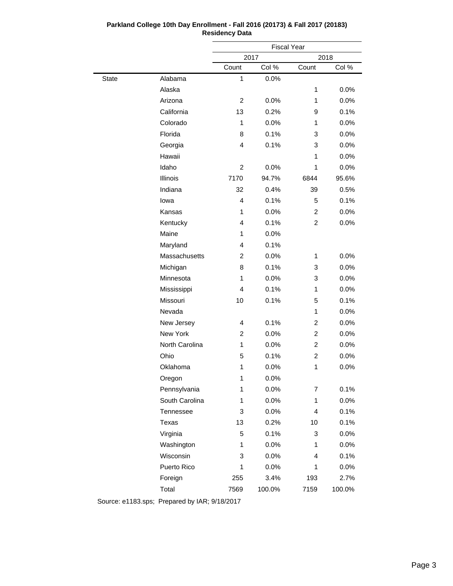|              |                |                | <b>Fiscal Year</b> |                |        |  |
|--------------|----------------|----------------|--------------------|----------------|--------|--|
|              |                |                | 2017               | 2018           |        |  |
|              |                | Count          | Col %              | Count          | Col %  |  |
| <b>State</b> | Alabama        | 1              | 0.0%               |                |        |  |
|              | Alaska         |                |                    | 1              | 0.0%   |  |
|              | Arizona        | 2              | 0.0%               | 1              | 0.0%   |  |
|              | California     | 13             | 0.2%               | 9              | 0.1%   |  |
|              | Colorado       | 1              | 0.0%               | 1              | 0.0%   |  |
|              | Florida        | 8              | 0.1%               | 3              | 0.0%   |  |
|              | Georgia        | 4              | 0.1%               | 3              | 0.0%   |  |
|              | Hawaii         |                |                    | 1              | 0.0%   |  |
|              | Idaho          | $\overline{2}$ | 0.0%               | 1              | 0.0%   |  |
|              | Illinois       | 7170           | 94.7%              | 6844           | 95.6%  |  |
|              | Indiana        | 32             | 0.4%               | 39             | 0.5%   |  |
|              | lowa           | 4              | 0.1%               | 5              | 0.1%   |  |
|              | Kansas         | 1              | 0.0%               | $\overline{2}$ | 0.0%   |  |
|              | Kentucky       | 4              | 0.1%               | $\overline{2}$ | 0.0%   |  |
|              | Maine          | 1              | 0.0%               |                |        |  |
|              | Maryland       | 4              | 0.1%               |                |        |  |
|              | Massachusetts  | $\overline{2}$ | 0.0%               | 1              | 0.0%   |  |
|              | Michigan       | 8              | 0.1%               | 3              | 0.0%   |  |
|              | Minnesota      | 1              | 0.0%               | 3              | 0.0%   |  |
|              | Mississippi    | 4              | 0.1%               | 1              | 0.0%   |  |
|              | Missouri       | 10             | 0.1%               | 5              | 0.1%   |  |
|              | Nevada         | 1<br>0.0%      |                    |                |        |  |
|              | New Jersey     | 4              | 0.1%               | $\overline{2}$ | 0.0%   |  |
|              | New York       | 2              | 0.0%               | $\overline{2}$ | 0.0%   |  |
|              | North Carolina | $\mathbf{1}$   | 0.0%               | $\overline{2}$ | 0.0%   |  |
|              | Ohio           | 5              | 0.1%               | $\overline{2}$ | 0.0%   |  |
|              | Oklahoma       | 1              | 0.0%               | 1              | 0.0%   |  |
|              | Oregon         | 1              | 0.0%               |                |        |  |
|              | Pennsylvania   | 1              | 0.0%               | 7              | 0.1%   |  |
|              | South Carolina | 1              | 0.0%               | 1              | 0.0%   |  |
|              | Tennessee      | 3              | 0.0%               | 4              | 0.1%   |  |
|              | Texas          | 13             | 0.2%               | 10             | 0.1%   |  |
|              | Virginia       | 5              | 0.1%               | 3              | 0.0%   |  |
|              | Washington     | 1              | 0.0%               | 1              | 0.0%   |  |
|              | Wisconsin      | 3              | 0.0%               | 4              | 0.1%   |  |
|              | Puerto Rico    | 1              | 0.0%               | 1              | 0.0%   |  |
|              | Foreign        | 255            | 3.4%               | 193            | 2.7%   |  |
|              | Total          | 7569           | 100.0%             | 7159           | 100.0% |  |
|              |                |                |                    |                |        |  |

# **Parkland College 10th Day Enrollment - Fall 2016 (20173) & Fall 2017 (20183) Residency Data**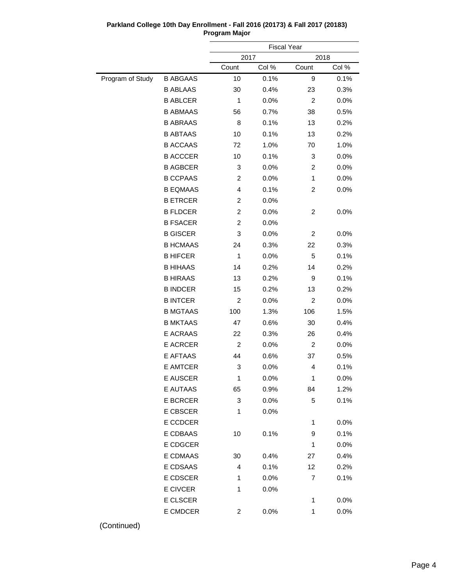|                  |                 |                | <b>Fiscal Year</b> |                |       |
|------------------|-----------------|----------------|--------------------|----------------|-------|
|                  |                 |                | 2017               | 2018           |       |
|                  |                 | Count          | Col %              | Count          | Col % |
| Program of Study | <b>B ABGAAS</b> | 10             | 0.1%               | 9              | 0.1%  |
|                  | <b>B ABLAAS</b> | 30             | 0.4%               | 23             | 0.3%  |
|                  | <b>B ABLCER</b> | $\mathbf{1}$   | 0.0%               | $\overline{2}$ | 0.0%  |
|                  | <b>B ABMAAS</b> | 56             | 0.7%               | 38             | 0.5%  |
|                  | <b>B ABRAAS</b> | 8              | 0.1%               | 13             | 0.2%  |
|                  | <b>B ABTAAS</b> | 10             | 0.1%               | 13             | 0.2%  |
|                  | <b>B ACCAAS</b> | 72             | 1.0%               | 70             | 1.0%  |
|                  | <b>B ACCCER</b> | 10             | 0.1%               | 3              | 0.0%  |
|                  | <b>B AGBCER</b> | 3              | 0.0%               | $\overline{c}$ | 0.0%  |
|                  | <b>B CCPAAS</b> | $\overline{c}$ | 0.0%               | 1              | 0.0%  |
|                  | <b>B EQMAAS</b> | 4              | 0.1%               | $\overline{c}$ | 0.0%  |
|                  | <b>B ETRCER</b> | $\overline{c}$ | 0.0%               |                |       |
|                  | <b>B FLDCER</b> | $\overline{2}$ | 0.0%               | 2              | 0.0%  |
|                  | <b>B FSACER</b> | $\overline{c}$ | 0.0%               |                |       |
|                  | <b>B GISCER</b> | 3              | 0.0%               | 2              | 0.0%  |
|                  | <b>B HCMAAS</b> | 24             | 0.3%               | 22             | 0.3%  |
|                  | <b>B HIFCER</b> | $\mathbf{1}$   | 0.0%               | 5              | 0.1%  |
|                  | <b>B HIHAAS</b> | 14             | 0.2%               | 14             | 0.2%  |
|                  | <b>B HIRAAS</b> | 13             | 0.2%               | 9              | 0.1%  |
|                  | <b>B INDCER</b> | 15             | 0.2%               | 13             | 0.2%  |
|                  | <b>B INTCER</b> | $\overline{c}$ | 0.0%               | 2              | 0.0%  |
|                  | <b>B MGTAAS</b> | 100            | 1.3%               | 106            | 1.5%  |
|                  | <b>B MKTAAS</b> | 47             | 0.6%               | 30             | 0.4%  |
|                  | E ACRAAS        | 22             | 0.3%               | 26             | 0.4%  |
|                  | <b>E ACRCER</b> | $\overline{c}$ | 0.0%               | 2              | 0.0%  |
|                  | E AFTAAS        | 44             | 0.6%               | 37             | 0.5%  |
|                  | E AMTCER        | 3              | 0.0%               | 4              | 0.1%  |
|                  | E AUSCER        | $\mathbf{1}$   | 0.0%               | 1              | 0.0%  |
|                  | E AUTAAS        | 65             | 0.9%               | 84             | 1.2%  |
|                  | <b>E BCRCER</b> | 3              | 0.0%               | 5              | 0.1%  |
|                  | <b>E CBSCER</b> | 1              | 0.0%               |                |       |
|                  | E CCDCER        |                |                    | 1              | 0.0%  |
|                  | E CDBAAS        | 10             | 0.1%               | 9              | 0.1%  |
|                  | E CDGCER        |                |                    | 1              | 0.0%  |
|                  | E CDMAAS        | 30             | 0.4%               | 27             | 0.4%  |
|                  | E CDSAAS        | 4              | 0.1%               | 12             | 0.2%  |
|                  | E CDSCER        | 1              | 0.0%               | 7              | 0.1%  |
|                  | E CIVCER        | 1              | 0.0%               |                |       |
|                  | E CLSCER        |                |                    | 1              | 0.0%  |
|                  | E CMDCER        | 2              | 0.0%               | 1              | 0.0%  |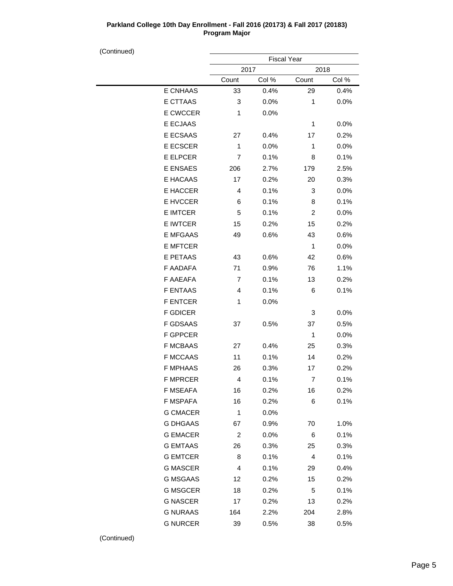| (Continued) |                 |                    |         |                |       |  |
|-------------|-----------------|--------------------|---------|----------------|-------|--|
|             |                 | <b>Fiscal Year</b> |         |                |       |  |
|             |                 | 2017               |         | 2018           |       |  |
|             |                 | Count              | Col %   | Count          | Col % |  |
|             | <b>E CNHAAS</b> | 33                 | 0.4%    | 29             | 0.4%  |  |
|             | E CTTAAS        | 3                  | 0.0%    | $\mathbf{1}$   | 0.0%  |  |
|             | E CWCCER        | 1                  | 0.0%    |                |       |  |
|             | E ECJAAS        |                    |         | 1              | 0.0%  |  |
|             | E ECSAAS        | 27                 | 0.4%    | 17             | 0.2%  |  |
|             | E ECSCER        | 1                  | 0.0%    | 1              | 0.0%  |  |
|             | E ELPCER        | 7                  | 0.1%    | 8              | 0.1%  |  |
|             | E ENSAES        | 206                | 2.7%    | 179            | 2.5%  |  |
|             | E HACAAS        | 17                 | 0.2%    | 20             | 0.3%  |  |
|             | E HACCER        | 4                  | 0.1%    | 3              | 0.0%  |  |
|             | E HVCCER        | 6                  | 0.1%    | 8              | 0.1%  |  |
|             | <b>E IMTCER</b> | 5                  | 0.1%    | $\overline{c}$ | 0.0%  |  |
|             | E IWTCER        | 15                 | 0.2%    | 15             | 0.2%  |  |
|             | <b>E MFGAAS</b> | 49                 | 0.6%    | 43             | 0.6%  |  |
|             | <b>E MFTCER</b> |                    |         | 1              | 0.0%  |  |
|             | E PETAAS        | 43                 | 0.6%    | 42             | 0.6%  |  |
|             | F AADAFA        | 71                 | 0.9%    | 76             | 1.1%  |  |
|             | F AAEAFA        | 7                  | 0.1%    | 13             | 0.2%  |  |
|             | <b>F ENTAAS</b> | 4                  | 0.1%    | 6              | 0.1%  |  |
|             | <b>F ENTCER</b> | 1                  | 0.0%    |                |       |  |
|             | <b>F GDICER</b> |                    |         | 3              | 0.0%  |  |
|             | <b>F GDSAAS</b> | 37                 | 0.5%    | 37             | 0.5%  |  |
|             | <b>F GPPCER</b> |                    |         | 1              | 0.0%  |  |
|             | <b>F MCBAAS</b> | 27                 | 0.4%    | 25             | 0.3%  |  |
|             | <b>F MCCAAS</b> | 11                 | 0.1%    | 14             | 0.2%  |  |
|             | <b>F MPHAAS</b> | 26                 | 0.3%    | 17             | 0.2%  |  |
|             | F MPRCER        | 4                  | $0.1\%$ | 7              | 0.1%  |  |
|             | F MSEAFA        | 16                 | 0.2%    | 16             | 0.2%  |  |
|             | F MSPAFA        | 16                 | 0.2%    | 6              | 0.1%  |  |
|             | <b>G CMACER</b> | 1                  | 0.0%    |                |       |  |
|             | <b>G DHGAAS</b> | 67                 | 0.9%    | 70             | 1.0%  |  |
|             | <b>G EMACER</b> | $\boldsymbol{2}$   | 0.0%    | 6              | 0.1%  |  |
|             | <b>G EMTAAS</b> | 26                 | 0.3%    | 25             | 0.3%  |  |
|             | <b>G EMTCER</b> | 8                  | 0.1%    | $\overline{4}$ | 0.1%  |  |
|             | <b>G MASCER</b> | 4                  | 0.1%    | 29             | 0.4%  |  |
|             | <b>G MSGAAS</b> | 12                 | 0.2%    | 15             | 0.2%  |  |
|             | <b>G MSGCER</b> | 18                 | 0.2%    | 5              | 0.1%  |  |
|             | <b>G NASCER</b> | 17                 | 0.2%    | 13             | 0.2%  |  |
|             | <b>G NURAAS</b> | 164                | 2.2%    | 204            | 2.8%  |  |
|             | <b>G NURCER</b> | 39                 | 0.5%    | 38             | 0.5%  |  |
|             |                 |                    |         |                |       |  |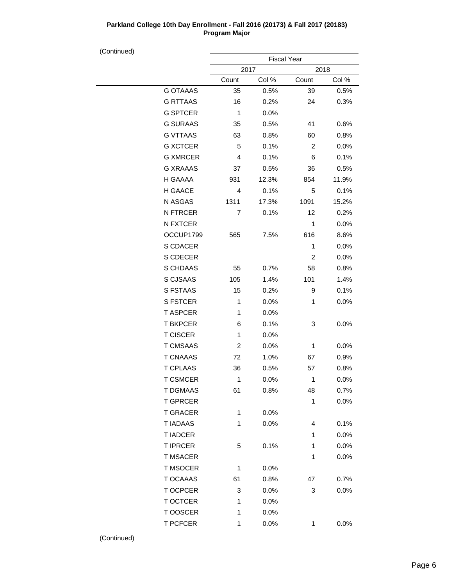(Continued)

| ,,,,,,,,,,, |                 | <b>Fiscal Year</b> |       |                |         |  |
|-------------|-----------------|--------------------|-------|----------------|---------|--|
|             |                 | 2017               |       | 2018           |         |  |
|             |                 | Count              | Col % | Count          | Col %   |  |
|             | <b>G OTAAAS</b> | 35                 | 0.5%  | 39             | 0.5%    |  |
|             | <b>G RTTAAS</b> | 16                 | 0.2%  | 24             | 0.3%    |  |
|             | <b>G SPTCER</b> | $\mathbf{1}$       | 0.0%  |                |         |  |
|             | <b>G SURAAS</b> | 35                 | 0.5%  | 41             | 0.6%    |  |
|             | <b>G VTTAAS</b> | 63                 | 0.8%  | 60             | 0.8%    |  |
|             | <b>G XCTCER</b> | 5                  | 0.1%  | $\overline{2}$ | 0.0%    |  |
|             | <b>G XMRCER</b> | 4                  | 0.1%  | 6              | 0.1%    |  |
|             | <b>G XRAAAS</b> | 37                 | 0.5%  | 36             | 0.5%    |  |
|             | H GAAAA         | 931                | 12.3% | 854            | 11.9%   |  |
|             | H GAACE         | 4                  | 0.1%  | 5              | 0.1%    |  |
|             | N ASGAS         | 1311               | 17.3% | 1091           | 15.2%   |  |
|             | <b>N FTRCER</b> | 7                  | 0.1%  | 12             | 0.2%    |  |
|             | N FXTCER        |                    |       | 1              | 0.0%    |  |
|             | OCCUP1799       | 565                | 7.5%  | 616            | 8.6%    |  |
|             | S CDACER        |                    |       | $\mathbf{1}$   | 0.0%    |  |
|             | S CDECER        |                    |       | $\overline{2}$ | 0.0%    |  |
|             | S CHDAAS        | 55                 | 0.7%  | 58             | 0.8%    |  |
|             | S CJSAAS        | 105                | 1.4%  | 101            | 1.4%    |  |
|             | S FSTAAS        | 15                 | 0.2%  | 9              | 0.1%    |  |
|             | <b>S FSTCER</b> | $\mathbf{1}$       | 0.0%  | $\mathbf{1}$   | 0.0%    |  |
|             | <b>T ASPCER</b> | 1                  | 0.0%  |                |         |  |
|             | <b>T BKPCER</b> | 6                  | 0.1%  | 3              | $0.0\%$ |  |
|             | <b>T CISCER</b> | 1                  | 0.0%  |                |         |  |
|             | <b>T CMSAAS</b> | 2                  | 0.0%  | 1              | 0.0%    |  |
|             | <b>T CNAAAS</b> | 72                 | 1.0%  | 67             | 0.9%    |  |
|             | <b>T CPLAAS</b> | 36                 | 0.5%  | 57             | 0.8%    |  |
|             | <b>T CSMCER</b> | $\mathbf{1}$       | 0.0%  | 1              | 0.0%    |  |
|             | T DGMAAS        | 61                 | 0.8%  | 48             | 0.7%    |  |
|             | <b>T GPRCER</b> |                    |       | 1              | 0.0%    |  |
|             | <b>T GRACER</b> | $\mathbf{1}$       | 0.0%  |                |         |  |
|             | <b>TIADAAS</b>  | 1                  | 0.0%  | 4              | 0.1%    |  |
|             | <b>T IADCER</b> |                    |       | 1              | 0.0%    |  |
|             | <b>TIPRCER</b>  | 5                  | 0.1%  | 1              | 0.0%    |  |
|             | <b>T MSACER</b> |                    |       | 1              | 0.0%    |  |
|             | <b>T MSOCER</b> | 1                  | 0.0%  |                |         |  |
|             | T OCAAAS        | 61                 | 0.8%  | 47             | 0.7%    |  |
|             | T OCPCER        | 3                  | 0.0%  | 3              | 0.0%    |  |
|             | T OCTCER        | 1                  | 0.0%  |                |         |  |
|             | T OOSCER        | 1                  | 0.0%  |                |         |  |
|             | <b>T PCFCER</b> | 1                  | 0.0%  | 1              | 0.0%    |  |
|             |                 |                    |       |                |         |  |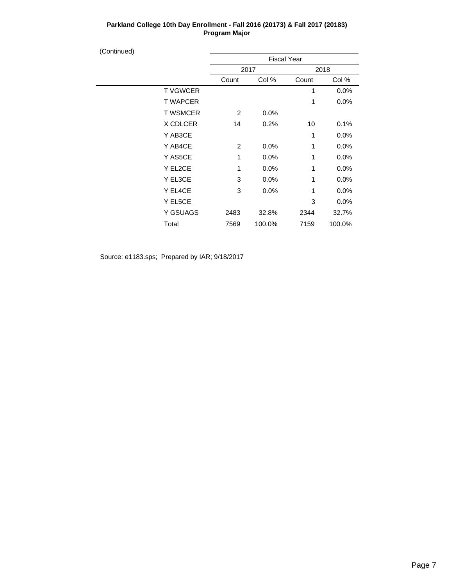| (Continued) |                 |       |                    |       |         |  |  |
|-------------|-----------------|-------|--------------------|-------|---------|--|--|
|             |                 |       | <b>Fiscal Year</b> |       |         |  |  |
|             |                 |       | 2017               |       |         |  |  |
|             |                 | Count | Col %              | Count | Col %   |  |  |
|             | <b>TVGWCER</b>  |       |                    | 1     | 0.0%    |  |  |
|             | <b>T WAPCER</b> |       |                    | 1     | 0.0%    |  |  |
|             | <b>T WSMCER</b> | 2     | 0.0%               |       |         |  |  |
|             | X CDLCER        | 14    | 0.2%               | 10    | 0.1%    |  |  |
|             | Y AB3CE         |       |                    | 1     | 0.0%    |  |  |
|             | Y AB4CE         | 2     | 0.0%               | 1     | 0.0%    |  |  |
|             | Y AS5CE         | 1     | 0.0%               | 1     | 0.0%    |  |  |
|             | Y EL2CE         | 1     | $0.0\%$            | 1     | 0.0%    |  |  |
|             | Y EL3CE         | 3     | 0.0%               | 1     | 0.0%    |  |  |
|             | Y EL4CE         | 3     | 0.0%               | 1     | 0.0%    |  |  |
|             | Y EL5CE         |       |                    | 3     | $0.0\%$ |  |  |
|             | Y GSUAGS        | 2483  | 32.8%              | 2344  | 32.7%   |  |  |
|             | Total           | 7569  | 100.0%             | 7159  | 100.0%  |  |  |
|             |                 |       |                    |       |         |  |  |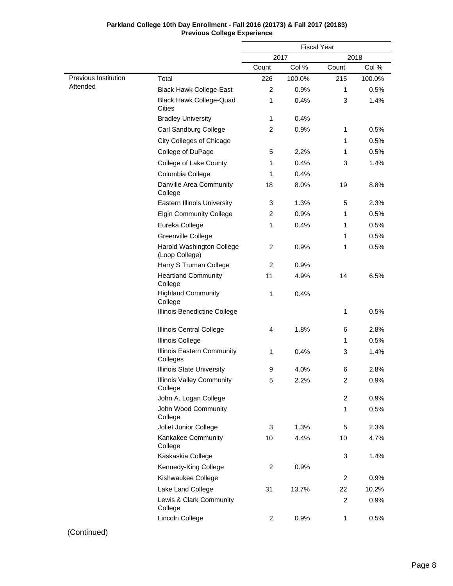|                      |                                               |                | <b>Fiscal Year</b> |                |        |
|----------------------|-----------------------------------------------|----------------|--------------------|----------------|--------|
|                      |                                               |                | 2017               |                | 2018   |
|                      |                                               | Count          | Col %              | Count          | Col %  |
| Previous Institution | Total                                         | 226            | 100.0%             | 215            | 100.0% |
| Attended             | <b>Black Hawk College-East</b>                | $\overline{c}$ | 0.9%               | 1              | 0.5%   |
|                      | <b>Black Hawk College-Quad</b><br>Cities      | 1              | 0.4%               | 3              | 1.4%   |
|                      | <b>Bradley University</b>                     | 1              | 0.4%               |                |        |
|                      | Carl Sandburg College                         | $\overline{2}$ | 0.9%               | 1              | 0.5%   |
|                      | City Colleges of Chicago                      |                |                    | 1              | 0.5%   |
|                      | College of DuPage                             | 5              | 2.2%               | 1              | 0.5%   |
|                      | College of Lake County                        | 1              | 0.4%               | 3              | 1.4%   |
|                      | Columbia College                              | 1              | 0.4%               |                |        |
|                      | Danville Area Community<br>College            | 18             | 8.0%               | 19             | 8.8%   |
|                      | <b>Eastern Illinois University</b>            | 3              | 1.3%               | 5              | 2.3%   |
|                      | <b>Elgin Community College</b>                | $\overline{c}$ | 0.9%               | 1              | 0.5%   |
|                      | Eureka College                                | 1              | 0.4%               | 1              | 0.5%   |
|                      | Greenville College                            |                |                    | 1              | 0.5%   |
|                      | Harold Washington College<br>(Loop College)   | $\overline{2}$ | 0.9%               | 1              | 0.5%   |
|                      | Harry S Truman College                        | $\overline{2}$ | 0.9%               |                |        |
|                      | <b>Heartland Community</b><br>College         | 11             | 4.9%               | 14             | 6.5%   |
|                      | <b>Highland Community</b><br>College          | 1              | 0.4%               |                |        |
|                      | Illinois Benedictine College                  |                |                    | 1              | 0.5%   |
|                      | <b>Illinois Central College</b>               | 4              | 1.8%               | 6              | 2.8%   |
|                      | <b>Illinois College</b>                       |                |                    | 1              | 0.5%   |
|                      | <b>Illinois Eastern Community</b><br>Colleges | 1              | 0.4%               | 3              | 1.4%   |
|                      | <b>Illinois State University</b>              | 9              | 4.0%               | 6              | 2.8%   |
|                      | <b>Illinois Valley Community</b><br>College   | 5              | 2.2%               | 2              | 0.9%   |
|                      | John A. Logan College                         |                |                    | $\overline{c}$ | 0.9%   |

John Wood Community

Joliet Junior College Kankakee Community

Kaskaskia College Kennedy-King College Kishwaukee College Lake Land College

Lewis & Clark Community

College

College

College

Lincoln College

### **Parkland College 10th Day Enrollment - Fall 2016 (20173) & Fall 2017 (20183) Previous College Experience**

(Continued)

1 0.5%

3 1.4%

2 0.9%

2 0.9%

3 1.3% 5 2.3% 10 4.4% 10 4.7%

31 13.7% 22 10.2%

2 0.9% 1 0.5%

2 0.9%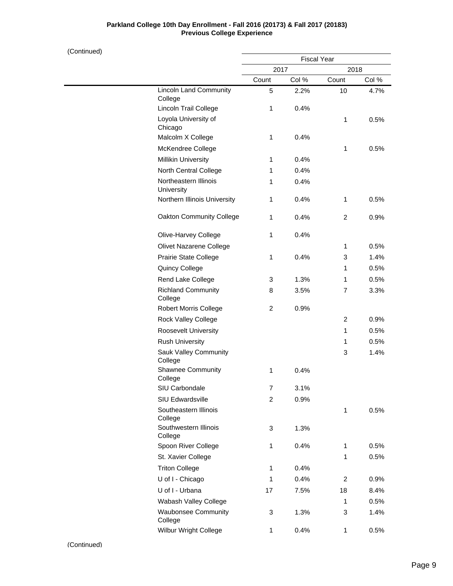# **Parkland College 10th Day Enrollment - Fall 2016 (20173) & Fall 2017 (20183) Previous College Experience**

| (Continued) |                                          |                |                    |                |       |  |
|-------------|------------------------------------------|----------------|--------------------|----------------|-------|--|
|             |                                          |                | <b>Fiscal Year</b> |                |       |  |
|             |                                          | 2017           |                    |                | 2018  |  |
|             |                                          | Count          | Col %              | Count          | Col % |  |
|             | <b>Lincoln Land Community</b><br>College | 5              | 2.2%               | 10             | 4.7%  |  |
|             | Lincoln Trail College                    | $\mathbf{1}$   | 0.4%               |                |       |  |
|             | Loyola University of<br>Chicago          |                |                    | $\mathbf{1}$   | 0.5%  |  |
|             | Malcolm X College                        | $\mathbf{1}$   | 0.4%               |                |       |  |
|             | McKendree College                        |                |                    | $\mathbf{1}$   | 0.5%  |  |
|             | <b>Millikin University</b>               | $\mathbf{1}$   | 0.4%               |                |       |  |
|             | North Central College                    | $\mathbf{1}$   | 0.4%               |                |       |  |
|             | Northeastern Illinois<br>University      | 1              | 0.4%               |                |       |  |
|             | Northern Illinois University             | $\mathbf{1}$   | 0.4%               | $\mathbf{1}$   | 0.5%  |  |
|             | <b>Oakton Community College</b>          | $\mathbf{1}$   | 0.4%               | 2              | 0.9%  |  |
|             | Olive-Harvey College                     | $\mathbf{1}$   | 0.4%               |                |       |  |
|             | Olivet Nazarene College                  |                |                    | 1              | 0.5%  |  |
|             | Prairie State College                    | $\mathbf{1}$   | 0.4%               | 3              | 1.4%  |  |
|             | Quincy College                           |                |                    | 1              | 0.5%  |  |
|             | Rend Lake College                        | 3              | 1.3%               | 1              | 0.5%  |  |
|             | <b>Richland Community</b><br>College     | 8              | 3.5%               | 7              | 3.3%  |  |
|             | <b>Robert Morris College</b>             | $\overline{2}$ | 0.9%               |                |       |  |
|             | Rock Valley College                      |                |                    | 2              | 0.9%  |  |
|             | Roosevelt University                     |                |                    | $\mathbf{1}$   | 0.5%  |  |
|             | <b>Rush University</b>                   |                |                    | 1              | 0.5%  |  |
|             | Sauk Valley Community<br>College         |                |                    | 3              | 1.4%  |  |
|             | Shawnee Community<br>College             | 1              | 0.4%               |                |       |  |
|             | SIU Carbondale                           | $\overline{7}$ | 3.1%               |                |       |  |
|             | <b>SIU Edwardsville</b>                  | $\overline{c}$ | 0.9%               |                |       |  |
|             | Southeastern Illinois<br>College         |                |                    | $\mathbf{1}$   | 0.5%  |  |
|             | Southwestern Illinois<br>College         | 3              | 1.3%               |                |       |  |
|             | Spoon River College                      | 1              | 0.4%               | 1              | 0.5%  |  |
|             | St. Xavier College                       |                |                    | $\mathbf{1}$   | 0.5%  |  |
|             | <b>Triton College</b>                    | $\mathbf{1}$   | 0.4%               |                |       |  |
|             | U of I - Chicago                         | $\mathbf{1}$   | 0.4%               | $\overline{c}$ | 0.9%  |  |
|             | U of I - Urbana                          | 17             | 7.5%               | 18             | 8.4%  |  |
|             | Wabash Valley College                    |                |                    | $\mathbf{1}$   | 0.5%  |  |
|             | <b>Waubonsee Community</b><br>College    | 3              | 1.3%               | 3              | 1.4%  |  |

Wilbur Wright College

1 0.4% 1 0.5%